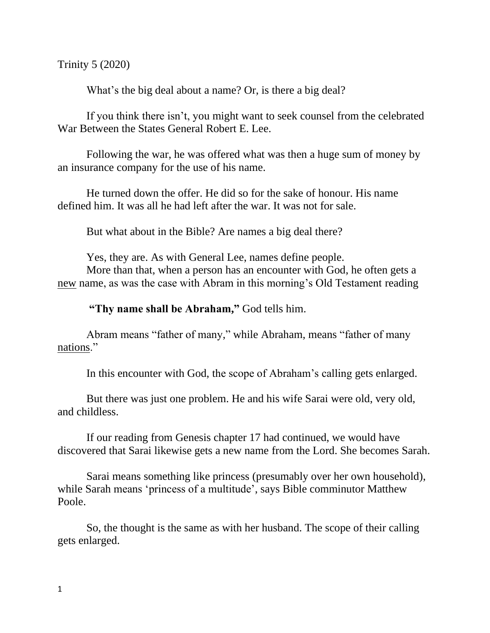Trinity 5 (2020)

What's the big deal about a name? Or, is there a big deal?

If you think there isn't, you might want to seek counsel from the celebrated War Between the States General Robert E. Lee.

Following the war, he was offered what was then a huge sum of money by an insurance company for the use of his name.

He turned down the offer. He did so for the sake of honour. His name defined him. It was all he had left after the war. It was not for sale.

But what about in the Bible? Are names a big deal there?

Yes, they are. As with General Lee, names define people.

More than that, when a person has an encounter with God, he often gets a new name, as was the case with Abram in this morning's Old Testament reading

**"Thy name shall be Abraham, "** God tells him.

Abram means "father of many," while Abraham, means "father of many nations."

In this encounter with God, the scope of Abraham's calling gets enlarged.

But there was just one problem. He and his wife Sarai were old, very old, and childless.

If our reading from Genesis chapter 17 had continued, we would have discovered that Sarai likewise gets a new name from the Lord. She becomes Sarah.

Sarai means something like princess (presumably over her own household), while Sarah means 'princess of a multitude', says Bible comminutor Matthew Poole.

So, the thought is the same as with her husband. The scope of their calling gets enlarged.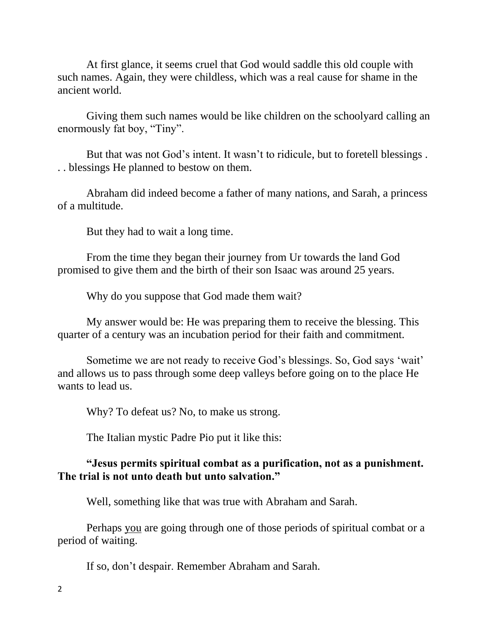At first glance, it seems cruel that God would saddle this old couple with such names. Again, they were childless, which was a real cause for shame in the ancient world.

Giving them such names would be like children on the schoolyard calling an enormously fat boy, "Tiny".

But that was not God's intent. It wasn't to ridicule, but to foretell blessings . . . blessings He planned to bestow on them.

Abraham did indeed become a father of many nations, and Sarah, a princess of a multitude.

But they had to wait a long time.

From the time they began their journey from Ur towards the land God promised to give them and the birth of their son Isaac was around 25 years.

Why do you suppose that God made them wait?

My answer would be: He was preparing them to receive the blessing. This quarter of a century was an incubation period for their faith and commitment.

Sometime we are not ready to receive God's blessings. So, God says 'wait' and allows us to pass through some deep valleys before going on to the place He wants to lead us.

Why? To defeat us? No, to make us strong.

The Italian mystic Padre Pio put it like this:

## **"Jesus permits spiritual combat as a purification, not as a punishment. The trial is not unto death but unto salvation."**

Well, something like that was true with Abraham and Sarah.

Perhaps you are going through one of those periods of spiritual combat or a period of waiting.

If so, don't despair. Remember Abraham and Sarah.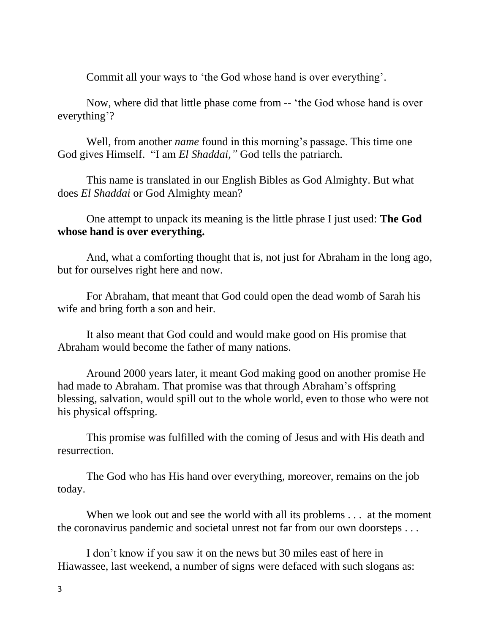Commit all your ways to 'the God whose hand is over everything'.

Now, where did that little phase come from -- 'the God whose hand is over everything'?

Well, from another *name* found in this morning's passage. This time one God gives Himself. "I am *El Shaddai,"* God tells the patriarch.

This name is translated in our English Bibles as God Almighty. But what does *El Shaddai* or God Almighty mean?

One attempt to unpack its meaning is the little phrase I just used: **The God whose hand is over everything.**

And, what a comforting thought that is, not just for Abraham in the long ago, but for ourselves right here and now.

For Abraham, that meant that God could open the dead womb of Sarah his wife and bring forth a son and heir.

It also meant that God could and would make good on His promise that Abraham would become the father of many nations.

Around 2000 years later, it meant God making good on another promise He had made to Abraham. That promise was that through Abraham's offspring blessing, salvation, would spill out to the whole world, even to those who were not his physical offspring.

This promise was fulfilled with the coming of Jesus and with His death and resurrection.

The God who has His hand over everything, moreover, remains on the job today.

When we look out and see the world with all its problems . . . at the moment the coronavirus pandemic and societal unrest not far from our own doorsteps . . .

I don't know if you saw it on the news but 30 miles east of here in Hiawassee, last weekend, a number of signs were defaced with such slogans as: